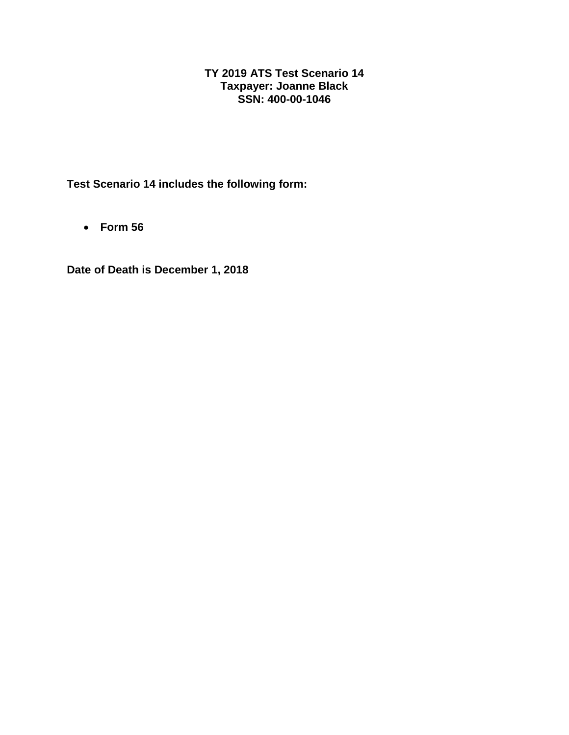## **TY 2019 ATS Test Scenario 14 Taxpayer: Joanne Black SSN: 400-00-1046**

**Test Scenario 14 includes the following form:**

• **Form 56**

**Date of Death is December 1, 2018**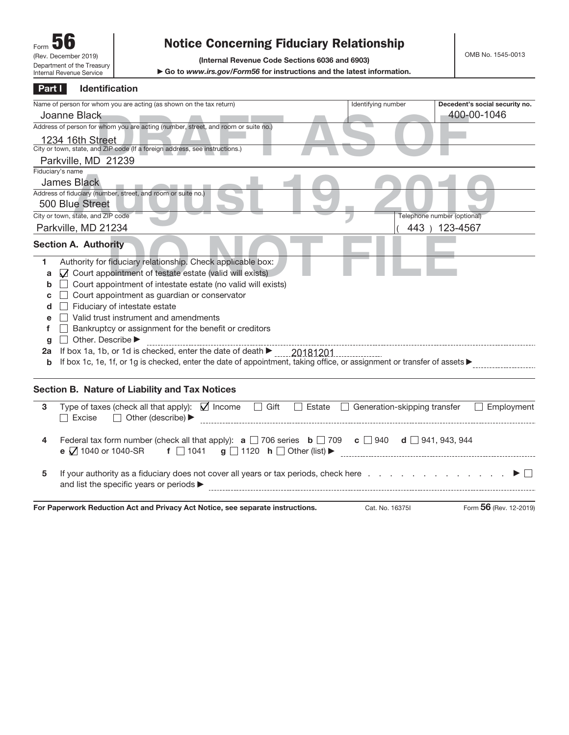## **Notice Concerning Fiduciary Relationship**

**(Internal Revenue Code Sections 6036 and 6903)**

▶ Go to www.irs.gov/Form56 for instructions and the latest information.

| Part I | Identification                                                                                                                                                                                                                                                            |                                               |                                               |
|--------|---------------------------------------------------------------------------------------------------------------------------------------------------------------------------------------------------------------------------------------------------------------------------|-----------------------------------------------|-----------------------------------------------|
|        | Name of person for whom you are acting (as shown on the tax return)                                                                                                                                                                                                       | Identifying number                            | Decedent's social security no.<br>400-00-1046 |
|        | Joanne Black                                                                                                                                                                                                                                                              |                                               |                                               |
|        | Address of person for whom you are acting (number, street, and room or suite no.)                                                                                                                                                                                         |                                               |                                               |
|        | 1234 16th Street                                                                                                                                                                                                                                                          |                                               |                                               |
|        | City or town, state, and ZIP code (If a foreign address, see instructions.)                                                                                                                                                                                               |                                               |                                               |
|        | Parkville, MD 21239                                                                                                                                                                                                                                                       |                                               |                                               |
|        | Fiduciary's name                                                                                                                                                                                                                                                          |                                               |                                               |
|        | <b>James Black</b>                                                                                                                                                                                                                                                        |                                               |                                               |
|        | Address of fiduciary (number, street, and room or suite no.)                                                                                                                                                                                                              |                                               |                                               |
|        | 500 Blue Street                                                                                                                                                                                                                                                           |                                               |                                               |
|        | City or town, state, and ZIP code                                                                                                                                                                                                                                         |                                               | Telephone number (optional)                   |
|        | Parkville, MD 21234                                                                                                                                                                                                                                                       |                                               | 443 ) 123-4567                                |
|        | <b>Section A. Authority</b>                                                                                                                                                                                                                                               |                                               |                                               |
| 1      | Authority for fiduciary relationship. Check applicable box:                                                                                                                                                                                                               |                                               |                                               |
| a      | ○ Court appointment of testate estate (valid will exists)                                                                                                                                                                                                                 |                                               |                                               |
| b      | $\Box$ Court appointment of intestate estate (no valid will exists)                                                                                                                                                                                                       |                                               |                                               |
| с      | Court appointment as guardian or conservator                                                                                                                                                                                                                              |                                               |                                               |
| d      | Fiduciary of intestate estate                                                                                                                                                                                                                                             |                                               |                                               |
| e      | Valid trust instrument and amendments                                                                                                                                                                                                                                     |                                               |                                               |
| f      | Bankruptcy or assignment for the benefit or creditors                                                                                                                                                                                                                     |                                               |                                               |
| g      | Other. Describe                                                                                                                                                                                                                                                           |                                               |                                               |
| 2a     | If box 1a, 1b, or 1d is checked, enter the date of death $\blacktriangleright$                                                                                                                                                                                            | $-20181201$                                   |                                               |
| b      | If box 1c, 1e, 1f, or 1g is checked, enter the date of appointment, taking office, or assignment or transfer of assets                                                                                                                                                    |                                               |                                               |
|        |                                                                                                                                                                                                                                                                           |                                               |                                               |
|        | Section B. Nature of Liability and Tax Notices                                                                                                                                                                                                                            |                                               |                                               |
| 3      | Type of taxes (check all that apply): $\Box$ Income<br>$\Box$ Gift                                                                                                                                                                                                        | $\Box$ Estate<br>Generation-skipping transfer | Employment                                    |
|        | $\Box$ Other (describe) $\blacktriangleright$<br>$\Box$ Excise                                                                                                                                                                                                            |                                               |                                               |
| 4      | Federal tax form number (check all that apply): $\mathbf{a} \square$ 706 series $\mathbf{b} \square$ 709 $\mathbf{c} \square$ 940 $\mathbf{d} \square$ 941, 943, 944                                                                                                      |                                               |                                               |
|        | e ○ 1040 or 1040-SR                                                                                                                                                                                                                                                       |                                               |                                               |
| 5      | If your authority as a fiduciary does not cover all years or tax periods, check here ▶ □<br>and list the specific years or periods $\blacktriangleright$<br>and a complete the contract of the complete state of the complete state of the complete state of the complete |                                               |                                               |
|        | For Paperwork Reduction Act and Privacy Act Notice, see separate instructions.                                                                                                                                                                                            | Cat. No. 16375I                               | Form 56 (Rev. 12-2019)                        |